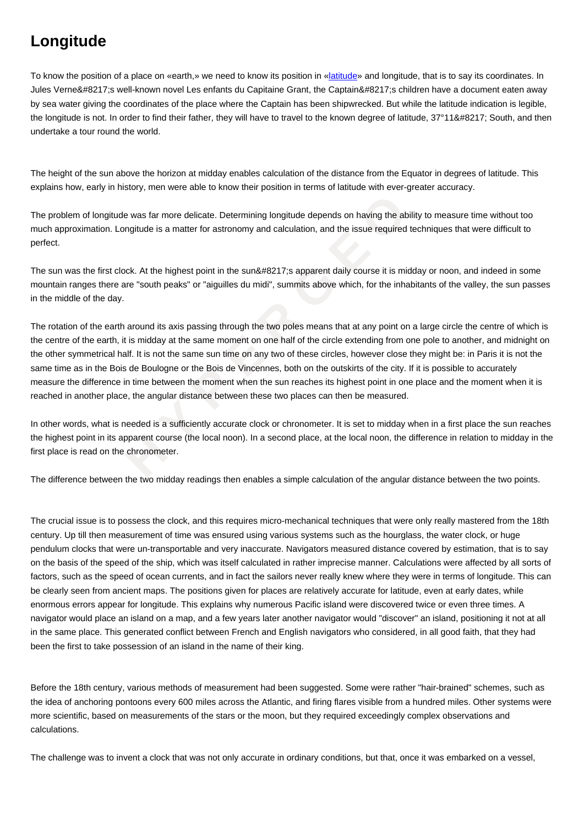

To know the position of a place on «earth,» we need to know its position in «latitude» and longitude, that is to say its coordinates. In Jules Verne's well-known novel Les enfants du Capitaine Grant, the Captain's children have a document eaten away by sea water giving the coordinates of the place where the Captain has been shipwrecked. But while the latitude indication is legible, the longitude is not. In order to find their father, they will have to travel to the [known](https://wiki.parisgeo.cnrs.fr/?p=139) degree of latitude, 37°11' South, and then undertake a tour round the world.

The height of the sun above the horizon at midday enables calculation of the distance from the Equator in degrees of latitude. This explains how, early in history, men were able to know their position in terms of latitude with ever-greater accuracy.

The problem of longitude was far more delicate. Determining longitude depends on having the ability to measure time without too much approximation. Longitude is a matter for astronomy and calculation, and the issue required techniques that were difficult to perfect.

The sun was the first clock. At the highest point in the sun's apparent daily course it is midday or noon, and indeed in some mountain ranges there are "south peaks" or "aiguilles du midi", summits above which, for the inhabitants of the valley, the sun passes in the middle of the day.

solution was far more delicate. Determining longitude depends on having the ability<br>tion. Longitude is a matter for astronomy and calculation, and the issue required tec!<br>first clock. At the highest point in the sun&#8217; The rotation of the earth around its axis passing through the two poles means that at any point on a large circle the centre of which is the centre of the earth, it is midday at the same moment on one half of the circle extending from one pole to another, and midnight on the other symmetrical half. It is not the same sun time on any two of these circles, however close they might be: in Paris it is not the same time as in the Bois de Boulogne or the Bois de Vincennes, both on the outskirts of the city. If it is possible to accurately measure the difference in time between the moment when the sun reaches its highest point in one place and the moment when it is reached in another place, the angular distance between these two places can then be measured.

In other words, what is needed is a sufficiently accurate clock or chronometer. It is set to midday when in a first place the sun reaches the highest point in its apparent course (the local noon). In a second place, at the local noon, the difference in relation to midday in the first place is read on the chronometer.

The difference between the two midday readings then enables a simple calculation of the angular distance between the two points.

The crucial issue is to possess the clock, and this requires micro-mechanical techniques that were only really mastered from the 18th century. Up till then measurement of time was ensured using various systems such as the hourglass, the water clock, or huge pendulum clocks that were un-transportable and very inaccurate. Navigators measured distance covered by estimation, that is to say on the basis of the speed of the ship, which was itself calculated in rather imprecise manner. Calculations were affected by all sorts of factors, such as the speed of ocean currents, and in fact the sailors never really knew where they were in terms of longitude. This can be clearly seen from ancient maps. The positions given for places are relatively accurate for latitude, even at early dates, while enormous errors appear for longitude. This explains why numerous Pacific island were discovered twice or even three times. A navigator would place an island on a map, and a few years later another navigator would "discover" an island, positioning it not at all in the same place. This generated conflict between French and English navigators who considered, in all good faith, that they had been the first to take possession of an island in the name of their king.

Before the 18th century, various methods of measurement had been suggested. Some were rather "hair-brained" schemes, such as the idea of anchoring pontoons every 600 miles across the Atlantic, and firing flares visible from a hundred miles. Other systems were more scientific, based on measurements of the stars or the moon, but they required exceedingly complex observations and calculations.

The challenge was to invent a clock that was not only accurate in ordinary conditions, but that, once it was embarked on a vessel,